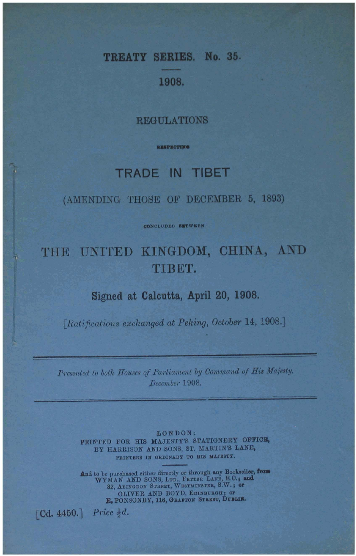TREATY SERIES. No. 35.

1908.

#### **REGULATIONS**

**RESPECTING** 

## **TRADE IN TIBET**

### (AMENDING THOSE OF DECEMBER 5, 1893)

CONCLUDED BETWEEN

# THE UNITED KINGDOM, CHINA, AND TIBET.

## Signed at Calcutta, April 20, 1908.

[Ratifications exchanged at Peking, October 14, 1908.]

Presented to both Houses of Parliament by Command of His Majesty. December 1908.

LONDON: PRINTED FOR HIS MAJESTY'S STATIONERY OFFICE, BY HARRISON AND SONS, ST. MARTIN'S LANE, PRINTERS IN ORDINARY TO HIS MAJESTY.

And to be purchased either directly or through any Bookseller, from WYMAN AND SONS, LTD., FRTTER LANE, E.C.; and 32, ABINGDON STREET, WESTMINSTER, S.W.; or OLIVER AND BOYD, EDINBURGH; OF E. PONSONBY, 116, GRAFTON STREET, DUBLIN.

[Cd. 4450.] Price  $\frac{1}{2}d$ .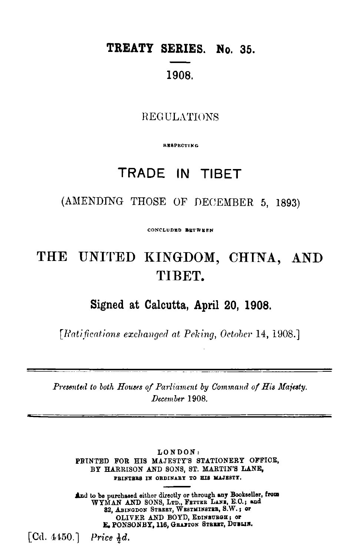## TREATY SERIES. No. 35.

### 1908.

**REGULATIONS** 

**RESPECTING** 

# TRADE IN TIBET

(AMENDING THOSE OF DECEMBER 5, 1893)

CONCLUDED BETWEEN

# THE UNITED KINGDOM, CHINA, AND TIBET.

Signed at Calcutta, April 20, 1908.

[Ratifications exchanged at Peking, October 14, 1908.]

Presented to both Houses of Parliament by Command of His Majesty. December 1908.

LONDON: PRINTED FOR HIS MAJESTY'S STATIONERY OFFICE, BY HARRISON AND SONS, ST. MARTIN'S LANE, PRINTERS IN ORDINARY TO HIS MAJESTY.

And to be purchased either directly or through any Bookseller, from WYMAN AND SONS, LTD., FETTER LANE, E.O.; and 32, ABINGDON STREET, WESTMINSTER, S.W.; or OLIVER AND BOYD, EDINBURGH; or E. PONSONBY, 116, GRAFTON STREET, DUBLIN.

[Cd. 4450.] Price  $\frac{1}{2}d$ .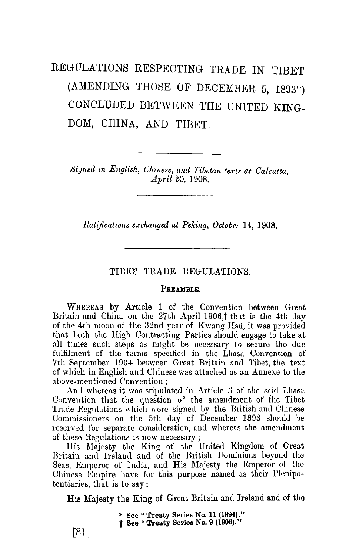# REGULATIONS RESPECTING TRADE IN TIBET (AMENDING THOSE OF DECEMBER 5, 1893\*) CONCLUDED BETWEEN THE UNITED KING-DOM, CHINA, AND TIBET.

Signed in English, Chinese, and Tibetan texts at Calcutta, April 20, 1908.

Ratifications exchanged at Peking, October 14, 1908.

#### TIBET TRADE REGULATIONS.

#### PREAMBLE.

WHEREAS by Article 1 of the Convention between Great Britain and China on the 27th April 1906,† that is the 4th day of the 4th moon of the 32nd year of Kwang Hsu, it was provided that both the High Contracting Parties should engage to take at all times such steps as might be necessary to secure the due fulfilment of the terms specified in the Lhasa Convention of 7th September 1904 between Great Britain and Tibet, the text of which in English and Chinese was attached as an Annexe to the above-mentioned Convention;

And whereas it was stipulated in Article 3 of the said Lhasa Convention that the question of the amendment of the Tibet Trade Regulations which were signed by the British and Chinese Commissioners on the 5th day of December 1893 should be reserved for separate consideration, and whereas the amendment of these Regulations is now necessary;

His Majesty the King of the United Kingdom of Great Britain and Ireland and of the British Dominions beyond the Seas, Emperor of India, and His Majesty the Emperor of the Chinese Empire have for this purpose named as their Plenipotentiaries, that is to say:

His Majesty the King of Great Britain and Ireland and of the

\* See "Treaty Series No. 11 (1894)." † See "Treaty Series No. 9 (1906)."

 $[8]$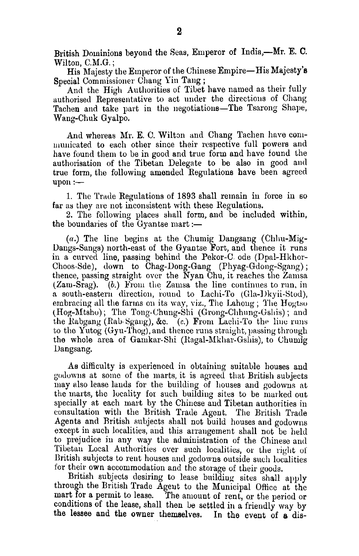British Dominions beyond the Seas, Emperor of India,-Mr. E. C. Wilton, C.M.G.:

His Majesty the Emperor of the Chinese Empire-His Majesty's Special Commissioner Chang Yin Tang ;

And the High Authorities of Tibet have named as their fully authorised Representative to act under the directions of Chang Tachen and take part in the negotiations—The Tsarong Shape, Wang-Chuk Gyalpo.

And whereas Mr. E. C. Wilton and Chang Tachen have communicated to each other since their respective full powers and have found them to be in good and true form and have found the authorisation of the Tibetan Delegate to be also in good and true form, the following amended Regulations have been agreed  $upon :=$ 

1. The Trade Regulations of 1893 shall remain in force in so far as they are not inconsistent with these Regulations.

2. The following places shall form, and be included within, the boundaries of the Gyantse mart  $:$ 

(a.) The line begins at the Chumig Dangsang (Chlu-Mig-Dangs-Sangs) north-east of the Gyantse Fort, and thence it runs in a curved line, passing behind the Pekor-C ode (Dpal-Hkhor-Choos-Sde), down to Chag-Dong-Gang (Phyag-Gdong-Sgang) ; thence, passing straight over the Nyan Chu, it reaches the Zamsa  $(Zam-Srag)$ . (b.) From the Zamsa the line continues to run, in a south-eastern direction, round to Lachi-To (Gla-I)kyii-Stod), embracing all the farms on its way, viz., The Lahong ; The Hogtso (Hog-Mtsho); The Tong-Chung-Shi (Grong-Chhung-Gslis); and the Rabgang (Rab Sgang), &c.  $(c.)$  From Lachi-To the line runs to the Yutog  $(Gyu-Thog)$ , and thence runs straight, passing through the whole area of Gamkar-Shi (Ragal-Mkhar-Gshis), to Chumig Dangsang.

As difficulty is experienced in obtaining suitable houses and godowns at some of the marts, it is agreed that British subjects may also lease lands for the building of houses and godowns at the marts, the locality foi such building sites to be marlted out specially at each mart by the Chinese and Tibetan authorities in consultation with the British Tracle Agent. The Britisli Trade Agents and British subjects shall not build houses and godowns except in such localities, and this arrangement shall not be held to prejudice in any way the administration of the Chinese and Tibetan Local Authorities over such localities, or the right of British subjects to rent houses and godowns outside such localities for their own accommodation and the storage of their goods.

British subjects desiring to lease building sites shall apply through the British Trade Agent to the Municipal Office at the mart for a permit to lease. The amount of rent, or the period or conditions of the lease, shall then be settled in a friendly way by the lessee and the owner themselves. In the event of **8** dis-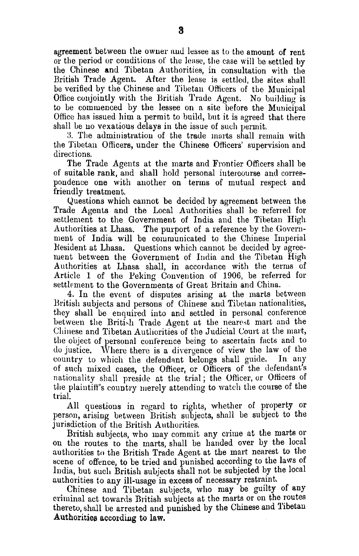agreement between the owner and lessee as to the amount of rent or the period or conditions of the lease, the case will be settled by the Chinese and Tibetan Authorities, in consultation with the British Trade Agent. After the lease is settled, the sites shall be verified by the Chinese and Tibetan Officers of the Municipal Office coniointly with the British Trade Agent. No building is to be comruenced by the lessee on a site before the Municipal Office has issued him a permit to build, but it **is** agreed that there shall be no vexatious delays in the issue of such permit.

3. The administration of the trade marts shall remain with the Tibetan Officers, under the Chinese Officers' supervision and directions.

The Trade Agents at the marts and Frontier Officers shall be of suitable rank, and shall hold personal intercourse and correspondence one with another on terms of mutual respect and friendly treatment.

Questions which cannot be decided by agreement between the Trade Agents and the Local Authorities shall be referred for settlement to the Government of India and the Tibetan High Authorities at Lhasa. The purport of a reference by the Government of India will be communicated to the Chinese Imperial Resident at Lhasa. Questions which cannot be decided by agreement between the Government of India and the Tibetan High Authorities at Lhasa shall, in accordance with the terms of Article 1 of the Peking Convention of 1906, be referred for settlement to the Governments of Great Britain and China.

4. In the event of disputes arising at the marts between British subjects and persons of Chinese and Tibetan nationalities, they shall be enquired into and settled in personal conference between the British Trade Agent at the nearest mart and the Chinese and Tibetan Authorities of the Judicial Court at the mart, the object of personal conference being to ascertain facts and to do justice. Where there is a divergence of view the law of the country to which the defendant belongs shall guide. In any country to which the defendant belongs shall guide. of such mixed cases, the Officer, or Officers of the defendant's nationality shall preside at the trial; the Officer, or Officers of the plaintiff's country merely attending to watch the course of the trial.

All questions in regard to rights, whether of property or person, arising between British subjects, shall be subject to the jurisdiction of the British Authorities.

British subjects, who may commit any crime at the marts or on the routes to the marts, shall be handed over by the local authorities to the British Trade Agent at the mart nearest to the scene of offence, to be tried and punished according to the laws of India, but such British subjects shall not be subjected by the local authorities to any ill-usage in excess of necessary restraint.

Chinese and Tibetan subjects, who may be guilty of any criminal act towards British subjects at the marts or on the routes thereto, shall be arrested and punished by the Chinese and Tibetan Authorities according to **law.**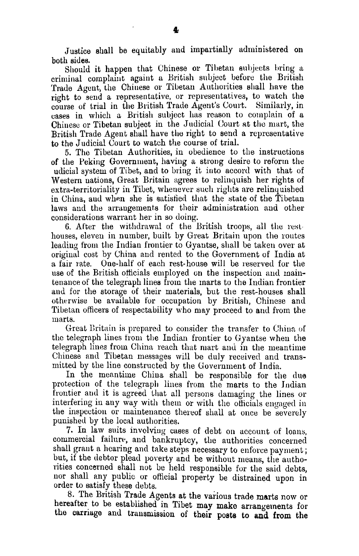Justice shall be equitably and impartially administered on hoth sides.

Should it happen that Chinese or Tibetan subjects bring a criminal complaint againt a British subject before the British Trade Agent, the Chinese or Tibetan Authorities shall have the right to send a representative, or representatives, to watch the course of trial in the British Trade Agent's Court. Similarly, in cases in which a British subject has reason to complain of a Chinese or Tibetan subject in the Judicial Court at the mart, the British Trade Agent shall have the right to send a representative to the Judicial Court to watch the course of trial.

5. The Tibetan Authorities, in obedience to the instructions of the Peking Government, having a strong desire to reform the udicial system of Tibet, and to bring it into accord with that of Western nations, Great Britain agrees to relinquish her rights of extra-territoriality in Tibet, whenever such rights are relinquished in China, and when she is satisfied that the state of the Tibetan laws and the arrangements for their administration and other considerations warrant her in so doing.

6. After the withdrawal of the British troops, all the resthouses, eleven in number, built by Great Britain upon the routes leading from the Indian frontier to Gyantse, shall be taken over at original cost by China and rented to the Government of India at a fair rate. One-half of each rest-house will be reserved for the use of the British officials employed on the inspection and maintenance of the telegraph lines from the marts to the Indian frontier and for the storage of their materials, but the rest-houses shall otherwise be available for occupation by British, Chinese and Tibetan officers of respectability who may proceed to and from the marts.

Great Britain is prepared to consider the transfer to China of the telegraph lines from the Indian frontier to Gyantse when the telegraph lines from China reach that mart and in the meantime Chinese and Tibetan messages will be duly received and transmitted by the line constructed by the Government of India.

In the meantime China shall be responsible for the due protection of the telegraph lines from the marts to the Indian frontier and it is agreed that all persons damaging the lines or interfering in any way with them or with the officials engaged in the inspection or maintenance thereof shall at once be severely punished by the local authorities.

7. In law suits involving cases of debt on account of loans, commercial failure, and bankruptcy, the authorities concerned shall grant a hearing and take steps necessary to enforce payment; but, if the debtor plead poverty and be without means, the authorities concerned shall not be held responsible for the said debts, nor shall any public or official property be distrained upon in order to satisfy these debts.

8. The British Trade Agents at the various trade marts now or hereafter to be established in Tibet may make arrangements for the carriage and transmission of their posts to and from the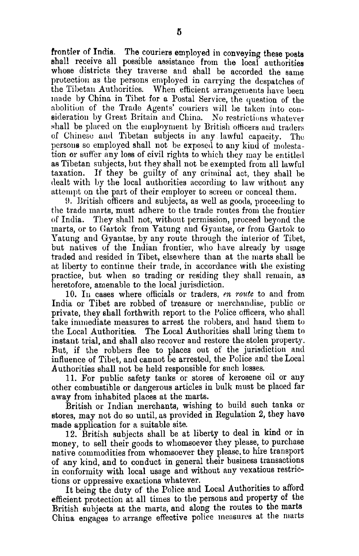frontier of India. The couriers emploved in conveying these posts shall receive all possible assistance from the local authorities whose districts they traverse and shall be accorded the same protection as the persons employed in carrying the despatches of the Tibetan Authorities. When efficient arrangements have been made by China in Tibet for a Postal Service, the question of the abolition of the Trade Agents' couriers will be taken into consideration by Great Britain and China. No restrictions whatever shall be placed on the employment by British officers and traders of Chinese and Tibetan subjects in any lawful capacity. The persons so employed shall not be exposed to any kind of molestation or suffer any loss of civil rights to which they may be entitled as Tibetan subjects, but they shall not be exempted from all lawful taxation. If they be guilty of any criminal act, they shall be dealt with by the local authorities according to law without any attempt on the part of their employer to screen or conceal them.

9. British officers and subjects, as well as goods, proceeding to the trade marts, must adhere to the trade routes from the frontier of India. They shall not, without permission, proceed beyond the marts, or to Gartok from Yatung and Gyantse, or from Gartok to Yatung and Gyantse, by any route through the interior of Tibet, but natives of the Indian frontier, who have already by usage traded and resided in Tibet, elsewhere than at the marts shall be at liberty to continue their trade, in accordance with the existing practice, but when so trading or residing they shall remain, as heretofore, amenable to the local jurisdiction.

10. In cases where officials or traders, *en route* to and from India or Tibet are robbed of treasure or merchandise, public or private, they shall forthwith report to the Police officers, who shall take immediate measures to arrest the robbers, and hand them to the Local Authorities. The Local Authorities shall bring them to instant trial, and shall also recover and restore the stolen property. But, if the robbers flee to places out of the jurisdiction and influence of Tibet, and cannot be arrested, the Police and the Local Authorities shall not be held responsible for such losses.

11. For public safety tanks or stores of kerosene oil or any other combustible or dangerous articles in bulk must be placed far away from inhabited places at the marts.

British or Indian merchants, wishing to build such tanks or stores, may not do so until, as provided in Regulation 2, they have made application for a suitable site.

12. British subjects shall be at liberty to deal in kind or in money, to sell their goods to whomsoever they please, to purchase native commodities from whomsoever they please, to hire transport of any kind, and to conduct in general their business transactions in conformity with local usage and without any vexatious restrictions or oppressive exactions whatever.

It being the duty of the Police and Local Authorities to afford efficient protection at all times to the persons and property of the British subjects at the marts, and along the routes to the marts China engages to arrange effective police measures at the marts